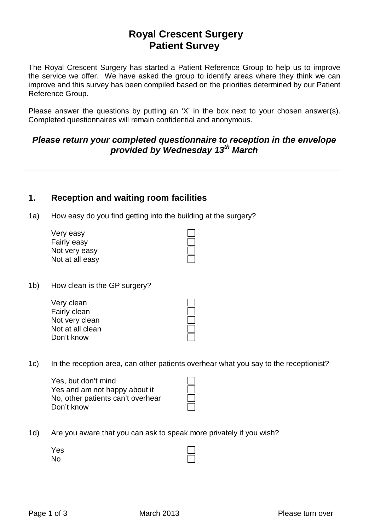# **Royal Crescent Surgery Patient Survey**

The Royal Crescent Surgery has started a Patient Reference Group to help us to improve the service we offer. We have asked the group to identify areas where they think we can improve and this survey has been compiled based on the priorities determined by our Patient Reference Group.

Please answer the questions by putting an 'X' in the box next to your chosen answer(s). Completed questionnaires will remain confidential and anonymous.

### *Please return your completed questionnaire to reception in the envelope provided by Wednesday 13th March*

## **1. Reception and waiting room facilities**

1a) How easy do you find getting into the building at the surgery?

| Very easy       |  |
|-----------------|--|
| Fairly easy     |  |
| Not very easy   |  |
| Not at all easy |  |

1b) How clean is the GP surgery?

| Very clean       |  |  |
|------------------|--|--|
| Fairly clean     |  |  |
| Not very clean   |  |  |
| Not at all clean |  |  |
| Don't know       |  |  |
|                  |  |  |

1c) In the reception area, can other patients overhear what you say to the receptionist?

Yes, but don't mind Yes and am not happy about it No, other patients can't overhear Don't know

1d) Are you aware that you can ask to speak more privately if you wish?

Yes No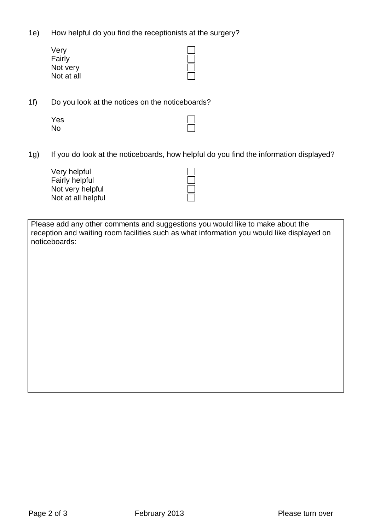1e) How helpful do you find the receptionists at the surgery?

| Very       |  |
|------------|--|
| Fairly     |  |
| Not very   |  |
| Not at all |  |

1f) Do you look at the notices on the noticeboards?

| Yes       | $\Box$ |
|-----------|--------|
| <b>No</b> | $\Box$ |

1g) If you do look at the noticeboards, how helpful do you find the information displayed?

Very helpful Fairly helpful Not very helpful Not at all helpful

Please add any other comments and suggestions you would like to make about the reception and waiting room facilities such as what information you would like displayed on noticeboards: